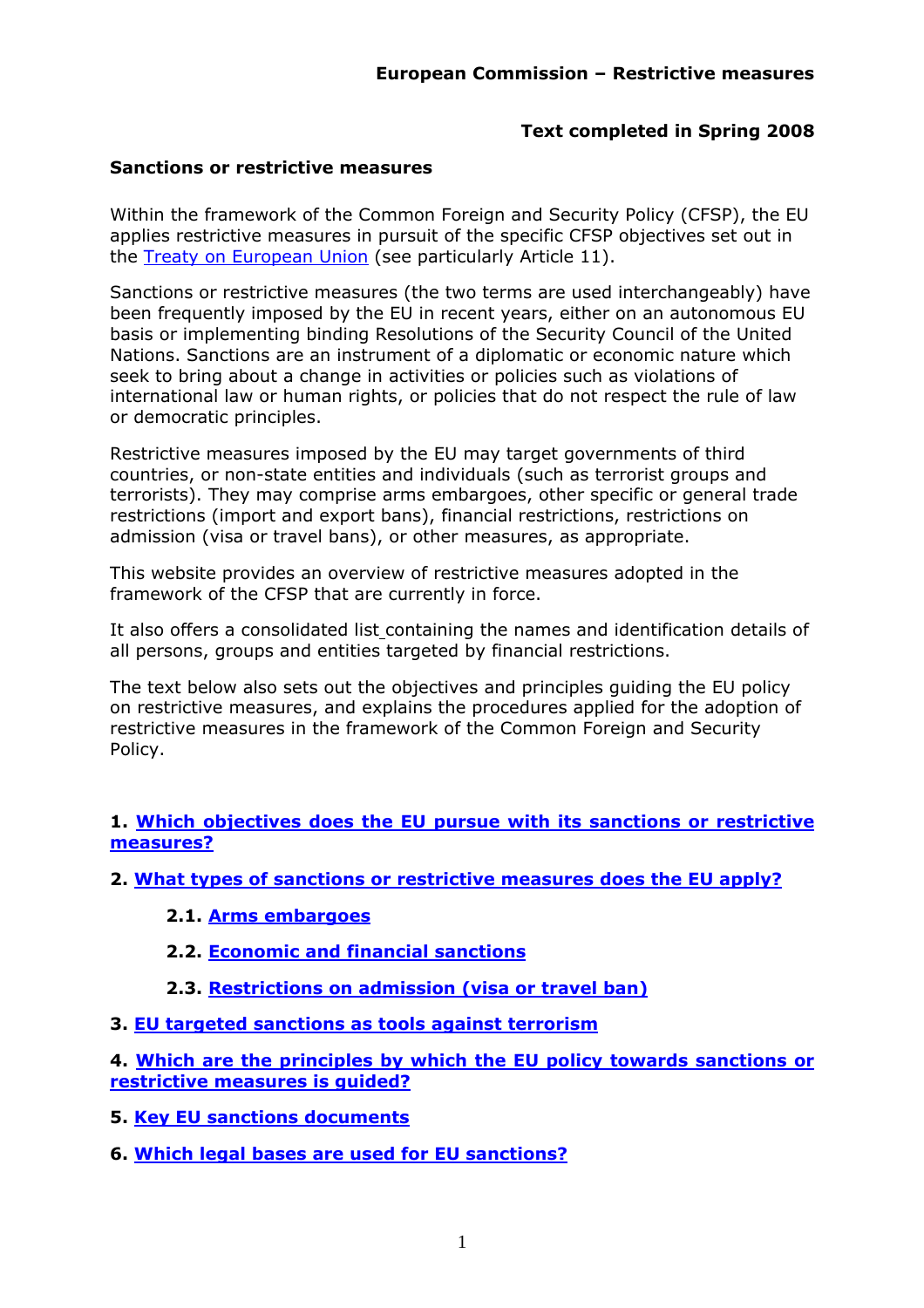### **Text completed in Spring 2008**

### **Sanctions or restrictive measures**

Within the framework of the Common Foreign and Security Policy (CFSP), the EU applies restrictive measures in pursuit of the specific CFSP objectives set out in the [Treaty on European Union](http://eur-lex.europa.eu/en/treaties/index.htm) (see particularly Article 11).

Sanctions or restrictive measures (the two terms are used interchangeably) have been frequently imposed by the EU in recent years, either on an autonomous EU basis or implementing binding Resolutions of the Security Council of the United Nations. Sanctions are an instrument of a diplomatic or economic nature which seek to bring about a change in activities or policies such as violations of international law or human rights, or policies that do not respect the rule of law or democratic principles.

Restrictive measures imposed by the EU may target governments of third countries, or non-state entities and individuals (such as terrorist groups and terrorists). They may comprise arms embargoes, other specific or general trade restrictions (import and export bans), financial restrictions, restrictions on admission (visa or travel bans), or other measures, as appropriate.

This website provides an overview of restrictive measures adopted in the framework of the CFSP that are currently in force.

It also offers a consolidated list containing the names and identification details of all persons, groups and entities targeted by financial restrictions.

The text below also sets out the objectives and principles guiding the EU policy on restrictive measures, and explains the procedures applied for the adoption of restrictive measures in the framework of the Common Foreign and Security Policy.

**1. [Which objectives does the EU pursue with its sanctions or restrictive](#page-1-0)  [measures?](#page-1-0)** 

**2. [What types of sanctions or restrictive measures does the EU apply?](#page-2-0)**

- **2.1. [Arms embargoes](#page-3-0)**
- **2.2. [Economic and financial sanctions](#page-3-1)**
- **2.3. [Restrictions on admission \(visa or travel ban\)](#page-4-0)**
- **3. [EU targeted sanctions as tools against terrorism](#page-4-1)**

**4. [Which are the principles by which the EU policy towards sanctions or](#page-5-0)  [restrictive measures is guided?](#page-5-0)** 

**5. [Key EU sanctions documents](#page-5-1)** 

**6. [Which legal bases are used for EU sanctions?](#page-6-0)**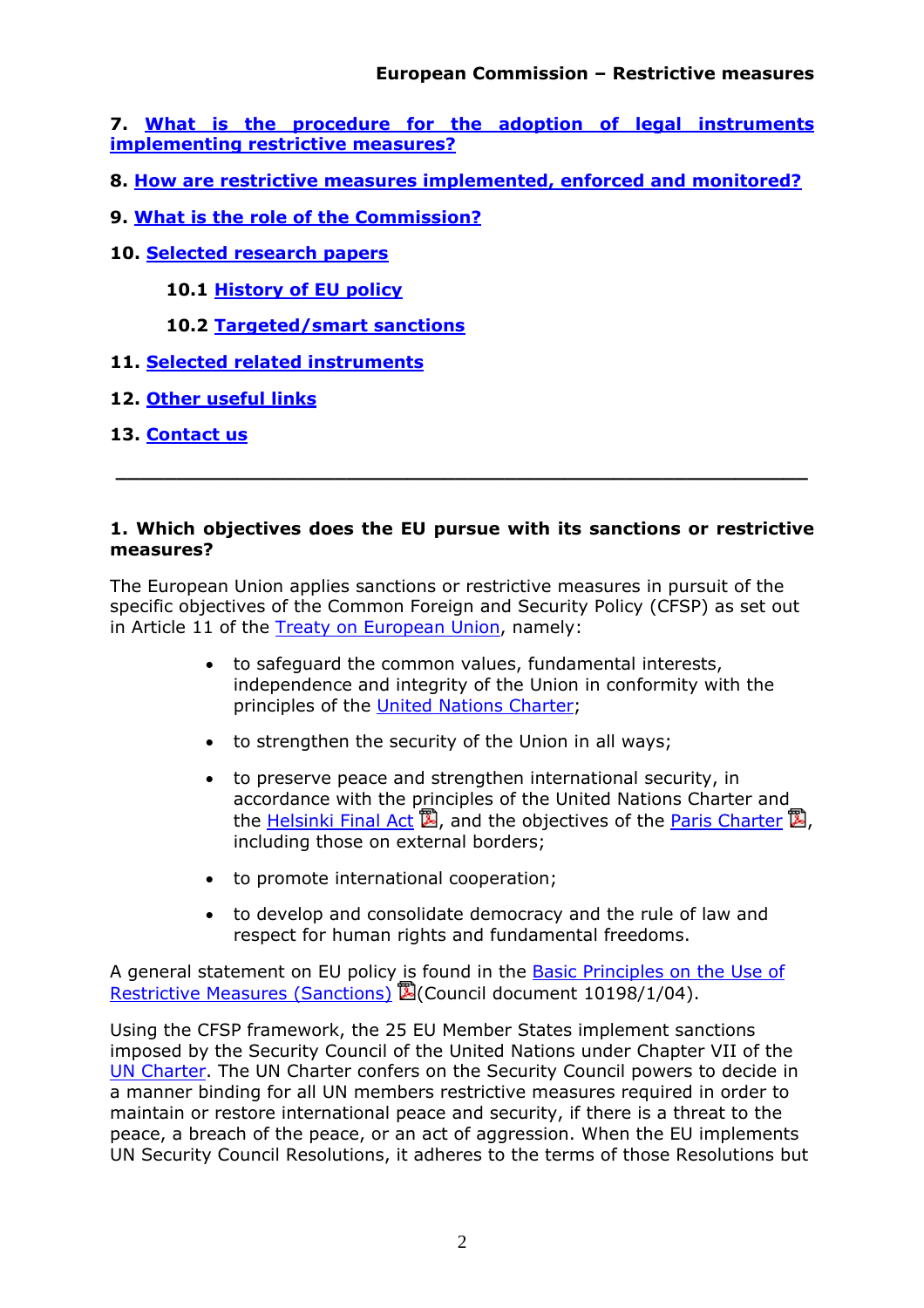**7. [What is the procedure for the adoption of legal instruments](#page-7-0)  [implementing restrictive measures?](#page-7-0)** 

- **8. [How are restrictive measures implemented, enforced and monitored?](#page-8-0)**
- **9. [What is the role of the Commission?](#page-8-1)**
- **10. [Selected research papers](#page-9-0)**

**10.1 [History of EU policy](#page-9-1)**

- **10.2 [Targeted/smart sanctions](#page-9-2)**
- **11. [Selected related instruments](#page-10-0)**
- **12. [Other useful links](#page-11-0)**
- **13. [Contact us](#page-12-0)**

#### <span id="page-1-0"></span>**1. Which objectives does the EU pursue with its sanctions or restrictive measures?**

 **\_\_\_\_\_\_\_\_\_\_\_\_\_\_\_\_\_\_\_\_\_\_\_\_\_\_\_\_\_\_\_\_\_\_\_\_\_\_\_\_\_\_\_\_\_\_\_\_\_\_\_\_\_\_\_\_\_** 

The European Union applies sanctions or restrictive measures in pursuit of the specific objectives of the Common Foreign and Security Policy (CFSP) as set out in Article 11 of the [Treaty on European Union,](http://eur-lex.europa.eu/en/treaties/index.htm) namely:

- to safeguard the common values, fundamental interests, independence and integrity of the Union in conformity with the principles of the [United Nations Charter;](http://www.un.org/aboutun/charter/)
- to strengthen the security of the Union in all ways;
- to preserve peace and strengthen international security, in accordance with the principles of the United Nations Charter and the [Helsinki Final Act](http://www.osce.org/documents/mcs/1975/08/4044_en.pdf)  $\mathbb{Z}$ , and the objectives of the [Paris Charter](http://www.osce.org/documents/mcs/1990/11/4045_en.pdf)  $\mathbb{Z}$ , including those on external borders;
- to promote international cooperation;
- to develop and consolidate democracy and the rule of law and respect for human rights and fundamental freedoms.

A general statement on EU policy is found in the **Basic Principles on the Use of** [Restrictive Measures \(Sanctions\)](http://register.consilium.europa.eu/pdf/en/04/st10/st10198-re01.en04.pdf) **②**(Council document 10198/1/04).

Using the CFSP framework, the 25 EU Member States implement sanctions imposed by the Security Council of the United Nations under Chapter VII of the [UN Charter.](http://www.un.org/aboutun/charter/) The UN Charter confers on the Security Council powers to decide in a manner binding for all UN members restrictive measures required in order to maintain or restore international peace and security, if there is a threat to the peace, a breach of the peace, or an act of aggression. When the EU implements UN Security Council Resolutions, it adheres to the terms of those Resolutions but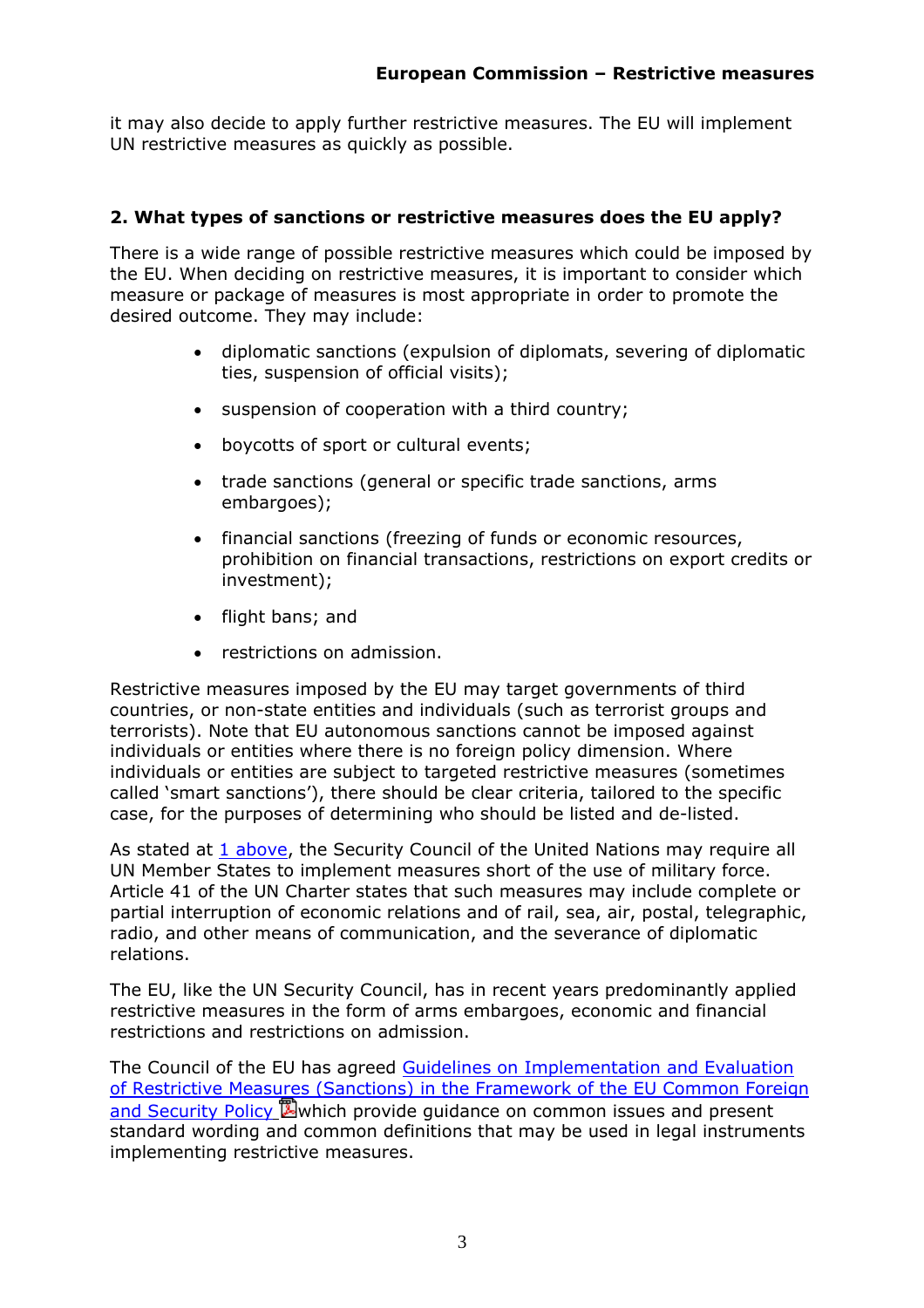it may also decide to apply further restrictive measures. The EU will implement UN restrictive measures as quickly as possible.

### <span id="page-2-0"></span>**2. What types of sanctions or restrictive measures does the EU apply?**

There is a wide range of possible restrictive measures which could be imposed by the EU. When deciding on restrictive measures, it is important to consider which measure or package of measures is most appropriate in order to promote the desired outcome. They may include:

- diplomatic sanctions (expulsion of diplomats, severing of diplomatic ties, suspension of official visits);
- suspension of cooperation with a third country;
- boycotts of sport or cultural events;
- trade sanctions (general or specific trade sanctions, arms embargoes);
- financial sanctions (freezing of funds or economic resources, prohibition on financial transactions, restrictions on export credits or investment);
- flight bans; and
- restrictions on admission.

Restrictive measures imposed by the EU may target governments of third countries, or non-state entities and individuals (such as terrorist groups and terrorists). Note that EU autonomous sanctions cannot be imposed against individuals or entities where there is no foreign policy dimension. Where individuals or entities are subject to targeted restrictive measures (sometimes called 'smart sanctions'), there should be clear criteria, tailored to the specific case, for the purposes of determining who should be listed and de-listed.

As stated at 1 above, the Security Council of the United Nations may require all UN Member States to implement measures short of the use of military force. Article 41 of the UN Charter states that such measures may include complete or partial interruption of economic relations and of rail, sea, air, postal, telegraphic, radio, and other means of communication, and the severance of diplomatic relations.

The EU, like the UN Security Council, has in recent years predominantly applied restrictive measures in the form of arms embargoes, economic and financial restrictions and restrictions on admission.

The Council of the EU has agreed [Guidelines on Implementation and Evaluation](http://register.consilium.europa.eu/pdf/en/05/st15/st15114.en05.pdf)  [of Restrictive Measures \(Sanctions\) in the Framework of the EU Common Foreign](http://register.consilium.europa.eu/pdf/en/05/st15/st15114.en05.pdf)  [and Security Policy](http://register.consilium.europa.eu/pdf/en/05/st15/st15114.en05.pdf) **W** which provide guidance on common issues and present standard wording and common definitions that may be used in legal instruments implementing restrictive measures.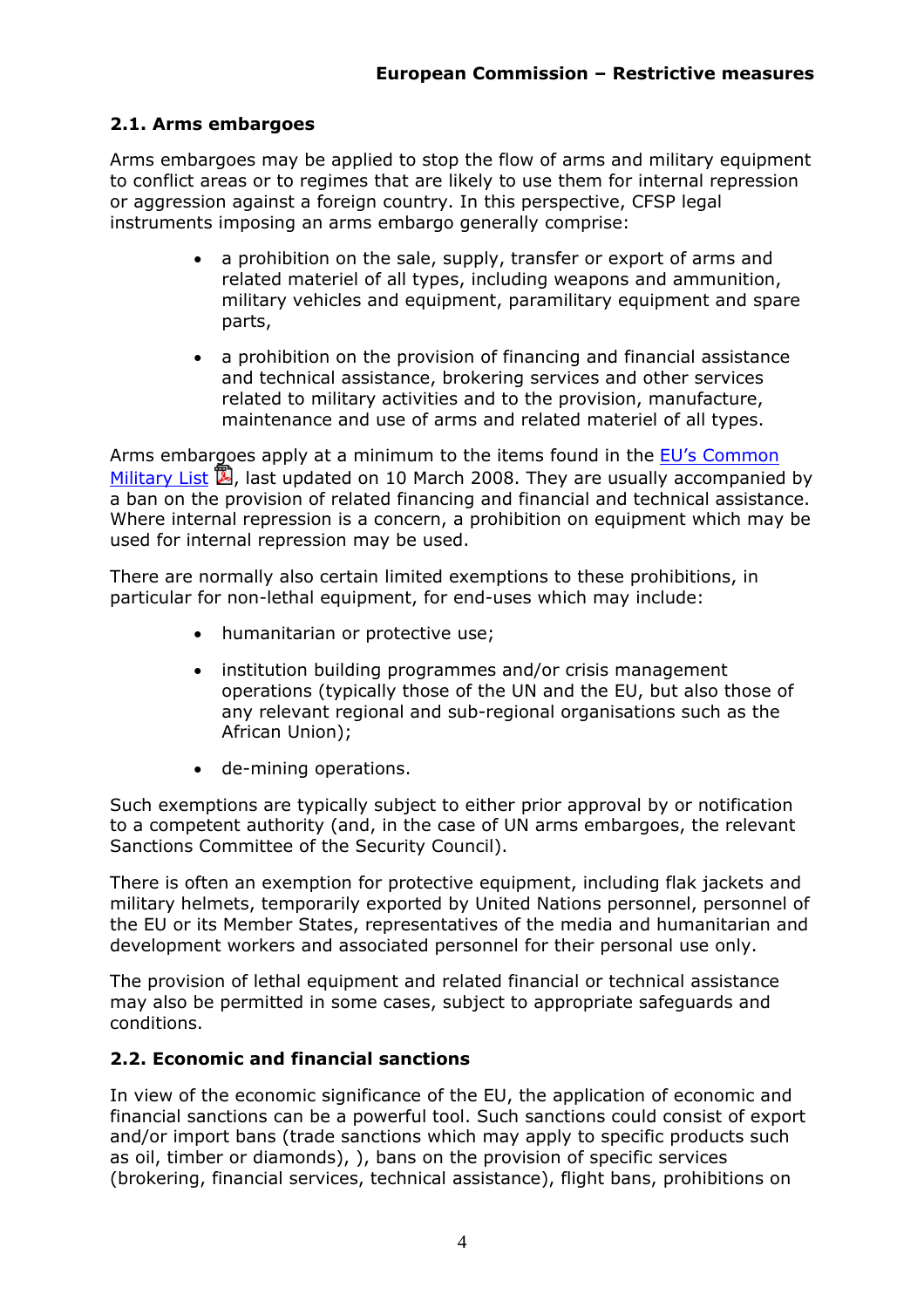### <span id="page-3-0"></span>**2.1. Arms embargoes**

Arms embargoes may be applied to stop the flow of arms and military equipment to conflict areas or to regimes that are likely to use them for internal repression or aggression against a foreign country. In this perspective, CFSP legal instruments imposing an arms embargo generally comprise:

- a prohibition on the sale, supply, transfer or export of arms and related materiel of all types, including weapons and ammunition, military vehicles and equipment, paramilitary equipment and spare parts,
- a prohibition on the provision of financing and financial assistance and technical assistance, brokering services and other services related to military activities and to the provision, manufacture, maintenance and use of arms and related materiel of all types.

Arms embargoes apply at a minimum to the items found in th[e EU's Common](http://eur-lex.europa.eu/LexUriServ/LexUriServ.do?uri=OJ:C:2009:065:0001:0034:EN:PDF)  [Military List](http://eur-lex.europa.eu/LexUriServ/LexUriServ.do?uri=OJ:C:2009:065:0001:0034:EN:PDF)  $\mathbb{Z}$ , last updated on 10 March 2008. They are usually accompanied by a ban on the provision of related financing and financial and technical assistance. Where internal repression is a concern, a prohibition on equipment which may be used for internal repression may be used.

There are normally also certain limited exemptions to these prohibitions, in particular for non-lethal equipment, for end-uses which may include:

- humanitarian or protective use;
- institution building programmes and/or crisis management operations (typically those of the UN and the EU, but also those of any relevant regional and sub-regional organisations such as the African Union);
- de-mining operations.

Such exemptions are typically subject to either prior approval by or notification to a competent authority (and, in the case of UN arms embargoes, the relevant Sanctions Committee of the Security Council).

There is often an exemption for protective equipment, including flak jackets and military helmets, temporarily exported by United Nations personnel, personnel of the EU or its Member States, representatives of the media and humanitarian and development workers and associated personnel for their personal use only.

The provision of lethal equipment and related financial or technical assistance may also be permitted in some cases, subject to appropriate safeguards and conditions.

### <span id="page-3-1"></span>**2.2. Economic and financial sanctions**

In view of the economic significance of the EU, the application of economic and financial sanctions can be a powerful tool. Such sanctions could consist of export and/or import bans (trade sanctions which may apply to specific products such as oil, timber or diamonds), ), bans on the provision of specific services (brokering, financial services, technical assistance), flight bans, prohibitions on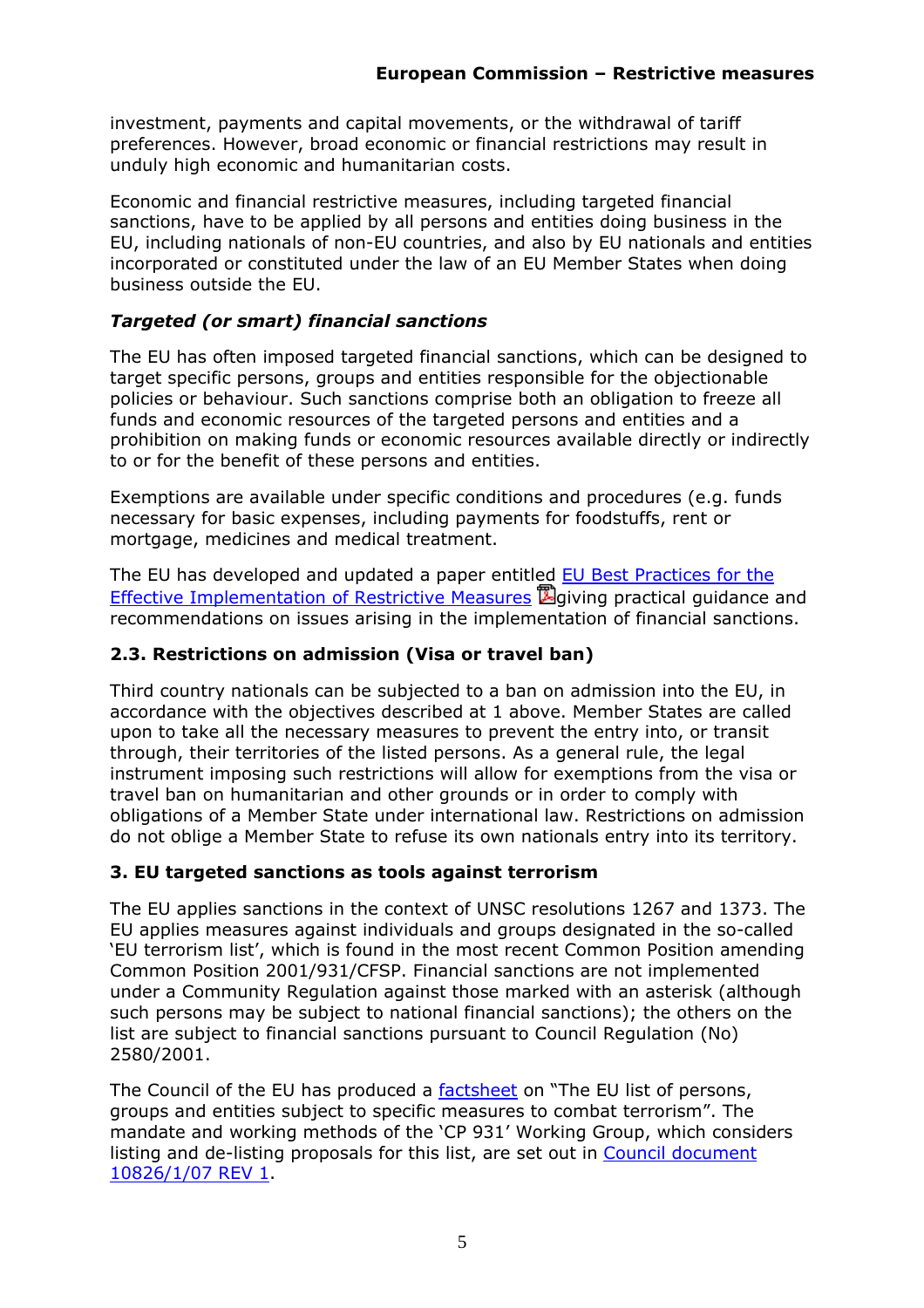investment, payments and capital movements, or the withdrawal of tariff preferences. However, broad economic or financial restrictions may result in unduly high economic and humanitarian costs.

Economic and financial restrictive measures, including targeted financial sanctions, have to be applied by all persons and entities doing business in the EU, including nationals of non-EU countries, and also by EU nationals and entities incorporated or constituted under the law of an EU Member States when doing business outside the EU.

## *Targeted (or smart) financial sanctions*

The EU has often imposed targeted financial sanctions, which can be designed to target specific persons, groups and entities responsible for the objectionable policies or behaviour. Such sanctions comprise both an obligation to freeze all funds and economic resources of the targeted persons and entities and a prohibition on making funds or economic resources available directly or indirectly to or for the benefit of these persons and entities.

Exemptions are available under specific conditions and procedures (e.g. funds necessary for basic expenses, including payments for foodstuffs, rent or mortgage, medicines and medical treatment.

The EU has developed and updated a paper entitled [EU Best Practices for the](http://register.consilium.europa.eu/servlet/driver?page=Result&lang=EN&typ=Advanced&cmsid=639&ff_COTE_DOCUMENT=8666%2F1%2F08&ff_COTE_DOSSIER_INST=&ff_TITRE=&ff_FT_TEXT=&ff_SOUS_COTE_MATIERE=&dd_DATE_DOCUMENT=&dd_DATE_REUNION=&dd_FT_DATE=&fc=ALLLANG&srm=25&)  [Effective Implementation of Restrictive Measures](http://register.consilium.europa.eu/servlet/driver?page=Result&lang=EN&typ=Advanced&cmsid=639&ff_COTE_DOCUMENT=8666%2F1%2F08&ff_COTE_DOSSIER_INST=&ff_TITRE=&ff_FT_TEXT=&ff_SOUS_COTE_MATIERE=&dd_DATE_DOCUMENT=&dd_DATE_REUNION=&dd_FT_DATE=&fc=ALLLANG&srm=25&)  $\mathbb{Z}$  giving practical guidance and recommendations on issues arising in the implementation of financial sanctions.

# <span id="page-4-0"></span>**2.3. Restrictions on admission (Visa or travel ban)**

Third country nationals can be subjected to a ban on admission into the EU, in accordance with the objectives described at 1 above. Member States are called upon to take all the necessary measures to prevent the entry into, or transit through, their territories of the listed persons. As a general rule, the legal instrument imposing such restrictions will allow for exemptions from the visa or travel ban on humanitarian and other grounds or in order to comply with obligations of a Member State under international law. Restrictions on admission do not oblige a Member State to refuse its own nationals entry into its territory.

## <span id="page-4-1"></span>**3. EU targeted sanctions as tools against terrorism**

The EU applies sanctions in the context of UNSC resolutions 1267 and 1373. The EU applies measures against individuals and groups designated in the so-called 'EU terrorism list', which is found in the most recent Common Position amending Common Position 2001/931/CFSP. Financial sanctions are not implemented under a Community Regulation against those marked with an asterisk (although such persons may be subject to national financial sanctions); the others on the list are subject to financial sanctions pursuant to Council Regulation (No) 2580/2001.

The Council of the EU has produced a [factsheet](http://www.consilium.europa.eu/uedocs/cmsUpload/080206_combatterrorism_EN.pdf) on "The EU list of persons, groups and entities subject to specific measures to combat terrorism". The mandate and working methods of the 'CP 931' Working Group, which considers listing and de-listing proposals for this list, are set out in [Council document](http://register.consilium.europa.eu/pdf/en/07/st10/st10826-re01.en07.pdf)  [10826/1/07 REV 1.](http://register.consilium.europa.eu/pdf/en/07/st10/st10826-re01.en07.pdf)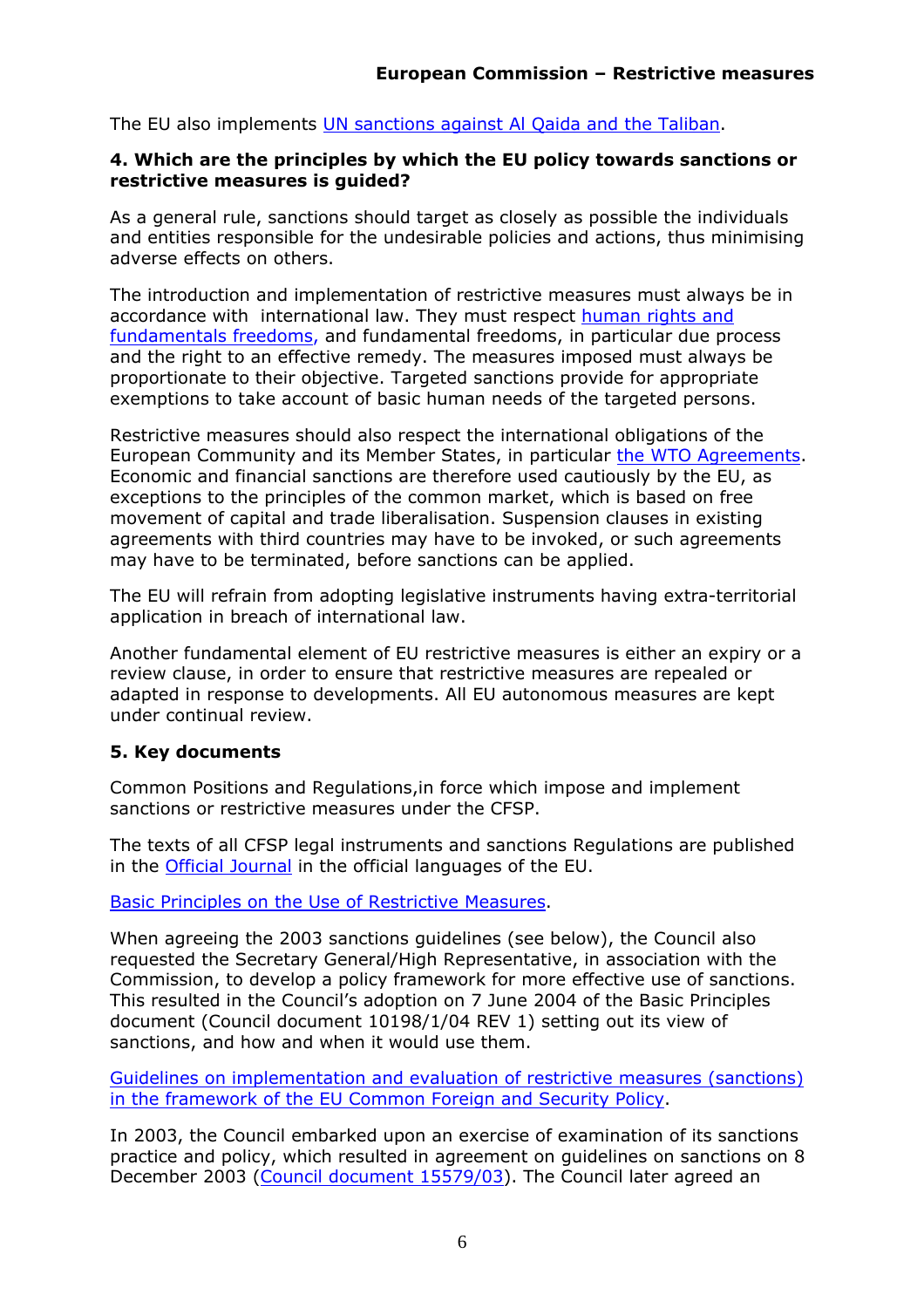<span id="page-5-0"></span>The EU also implements [UN sanctions against Al Qaida and the Taliban.](http://ec.europa.eu/external_relations/cfsp/sanctions/measures.pdf#Terrorist_groups)

#### **4. Which are the principles by which the EU policy towards sanctions or restrictive measures is guided?**

As a general rule, sanctions should target as closely as possible the individuals and entities responsible for the undesirable policies and actions, thus minimising adverse effects on others.

The introduction and implementation of restrictive measures must always be in accordance with international law. They must respect [human rights and](http://ec.europa.eu/justice_home/doc_centre/rights/doc_rights_intro_en.htm)  [fundamentals freedoms,](http://ec.europa.eu/justice_home/doc_centre/rights/doc_rights_intro_en.htm) and fundamental freedoms, in particular due process and the right to an effective remedy. The measures imposed must always be proportionate to their objective. Targeted sanctions provide for appropriate exemptions to take account of basic human needs of the targeted persons.

Restrictive measures should also respect the international obligations of the European Community and its Member States, in particula[r the WTO Agreements.](http://www.wto.org/) Economic and financial sanctions are therefore used cautiously by the EU, as exceptions to the principles of the common market, which is based on free movement of capital and trade liberalisation. Suspension clauses in existing agreements with third countries may have to be invoked, or such agreements may have to be terminated, before sanctions can be applied.

The EU will refrain from adopting legislative instruments having extra-territorial application in breach of international law.

Another fundamental element of EU restrictive measures is either an expiry or a review clause, in order to ensure that restrictive measures are repealed or adapted in response to developments. All EU autonomous measures are kept under continual review.

## <span id="page-5-1"></span>**5. Key documents**

Common Positions and Regulations,in force which impose and implement sanctions or restrictive measures under the CFSP.

The texts of all CFSP legal instruments and sanctions Regulations are published in the [Official Journal](http://eur-lex.europa.eu/JOIndex.do?ihmlang=en) in the official languages of the EU.

[Basic Principles on the Use of Restrictive Measures.](http://register.consilium.europa.eu/pdf/en/04/st10/st10198-re01.en04.pdf)

When agreeing the 2003 sanctions guidelines (see below), the Council also requested the Secretary General/High Representative, in association with the Commission, to develop a policy framework for more effective use of sanctions. This resulted in the Council's adoption on 7 June 2004 of the Basic Principles document (Council document 10198/1/04 REV 1) setting out its view of sanctions, and how and when it would use them.

[Guidelines on implementation and evaluation of restrictive measures \(sanctions\)](http://register.consilium.europa.eu/pdf/en/05/st15/st15114.en05.pdf)  [in the framework of the EU Common Foreign and Security Policy.](http://register.consilium.europa.eu/pdf/en/05/st15/st15114.en05.pdf)

In 2003, the Council embarked upon an exercise of examination of its sanctions practice and policy, which resulted in agreement on guidelines on sanctions on 8 December 2003 [\(Council document 15579/03\)](http://register.consilium.europa.eu/pdf/en/03/st15/st15579.en03.pdf). The Council later agreed an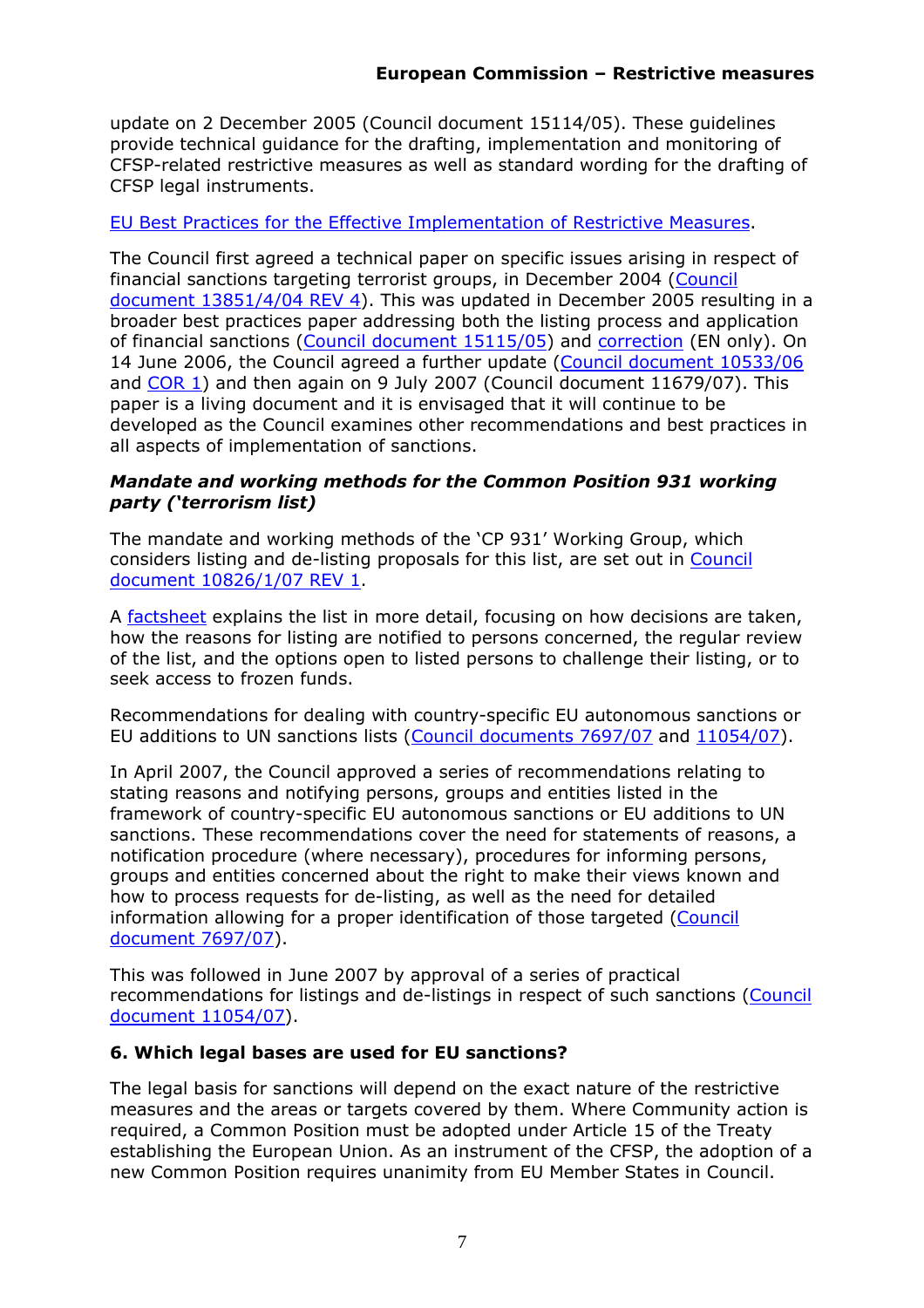update on 2 December 2005 (Council document 15114/05). These guidelines provide technical guidance for the drafting, implementation and monitoring of CFSP-related restrictive measures as well as standard wording for the drafting of CFSP legal instruments.

### [EU Best Practices for the Effective Implementation of Restrictive Measures.](http://register.consilium.europa.eu/servlet/driver?page=Result&lang=EN&typ=Advanced&cmsid=639&ff_COTE_DOCUMENT=8666%2F1%2F08&ff_COTE_DOSSIER_INST=&ff_TITRE=&ff_FT_TEXT=&ff_SOUS_COTE_MATIERE=&dd_DATE_DOCUMENT=&dd_DATE_REUNION=&dd_FT_DATE=&fc=ALLLANG&srm=25&)

The Council first agreed a technical paper on specific issues arising in respect of financial sanctions targeting terrorist groups, in December 2004 [\(Council](http://register.consilium.europa.eu/pdf/en/04/st13/st13851-re04.en04.pdf)  [document 13851/4/04 REV 4\)](http://register.consilium.europa.eu/pdf/en/04/st13/st13851-re04.en04.pdf). This was updated in December 2005 resulting in a broader best practices paper addressing both the listing process and application of financial sanctions [\(Council document 15115/05\)](http://register.consilium.europa.eu/pdf/en/05/st15/st15115.en05.pdf) and [correction](http://register.consilium.eu.int/pdf/en/05/st15/st15115-co01.en05.pdf) (EN only). On 14 June 2006, the Council agreed a further update [\(Council document 10533/06](http://register.consilium.europa.eu/pdf/en/06/st10/st10533.en06.pdf) an[d COR 1\)](http://register.consilium.europa.eu/pdf/en/06/st10/st10533-co01.en06.pdf) and then again on 9 July 2007 (Council document 11679/07). This paper is a living document and it is envisaged that it will continue to be developed as the Council examines other recommendations and best practices in all aspects of implementation of sanctions.

### *Mandate and working methods for the Common Position 931 working party ('terrorism list)*

The mandate and working methods of the 'CP 931' Working Group, which considers listing and de-listing proposals for this list, are set out in [Council](http://register.consilium.europa.eu/pdf/en/07/st10/st10826-re01.en07.pdf)  [document 10826/1/07 REV 1.](http://register.consilium.europa.eu/pdf/en/07/st10/st10826-re01.en07.pdf)

A [factsheet e](http://www.consilium.europa.eu/uedocs/cmsUpload/080206_combatterrorism_EN.pdf)xplains the list in more detail, focusing on how decisions are taken, how the reasons for listing are notified to persons concerned, the regular review of the list, and the options open to listed persons to challenge their listing, or to seek access to frozen funds.

Recommendations for dealing with country-specific EU autonomous sanctions or EU additions to UN sanctions lists [\(Council documents 7697/07](http://register.consilium.europa.eu/pdf/en/07/st07/st07697.en07.pdf) and [11054/07\)](http://register.consilium.europa.eu/pdf/en/07/st11/st11054.en07.pdf).

In April 2007, the Council approved a series of recommendations relating to stating reasons and notifying persons, groups and entities listed in the framework of country-specific EU autonomous sanctions or EU additions to UN sanctions. These recommendations cover the need for statements of reasons, a notification procedure (where necessary), procedures for informing persons, groups and entities concerned about the right to make their views known and how to process requests for de-listing, as well as the need for detailed information allowing for a proper identification of those targeted [\(Council](http://register.consilium.europa.eu/pdf/en/07/st07/st07697.en07.pdf)  [document 7697/07\)](http://register.consilium.europa.eu/pdf/en/07/st07/st07697.en07.pdf).

This was followed in June 2007 by approval of a series of practical recommendations for listings and de-listings in respect of such sanctions [\(Council](http://register.consilium.europa.eu/pdf/en/07/st11/st11054.en07.pdf)  [document 11054/07\)](http://register.consilium.europa.eu/pdf/en/07/st11/st11054.en07.pdf).

### <span id="page-6-0"></span>**6. Which legal bases are used for EU sanctions?**

The legal basis for sanctions will depend on the exact nature of the restrictive measures and the areas or targets covered by them. Where Community action is required, a Common Position must be adopted under Article 15 of the Treaty establishing the European Union. As an instrument of the CFSP, the adoption of a new Common Position requires unanimity from EU Member States in Council.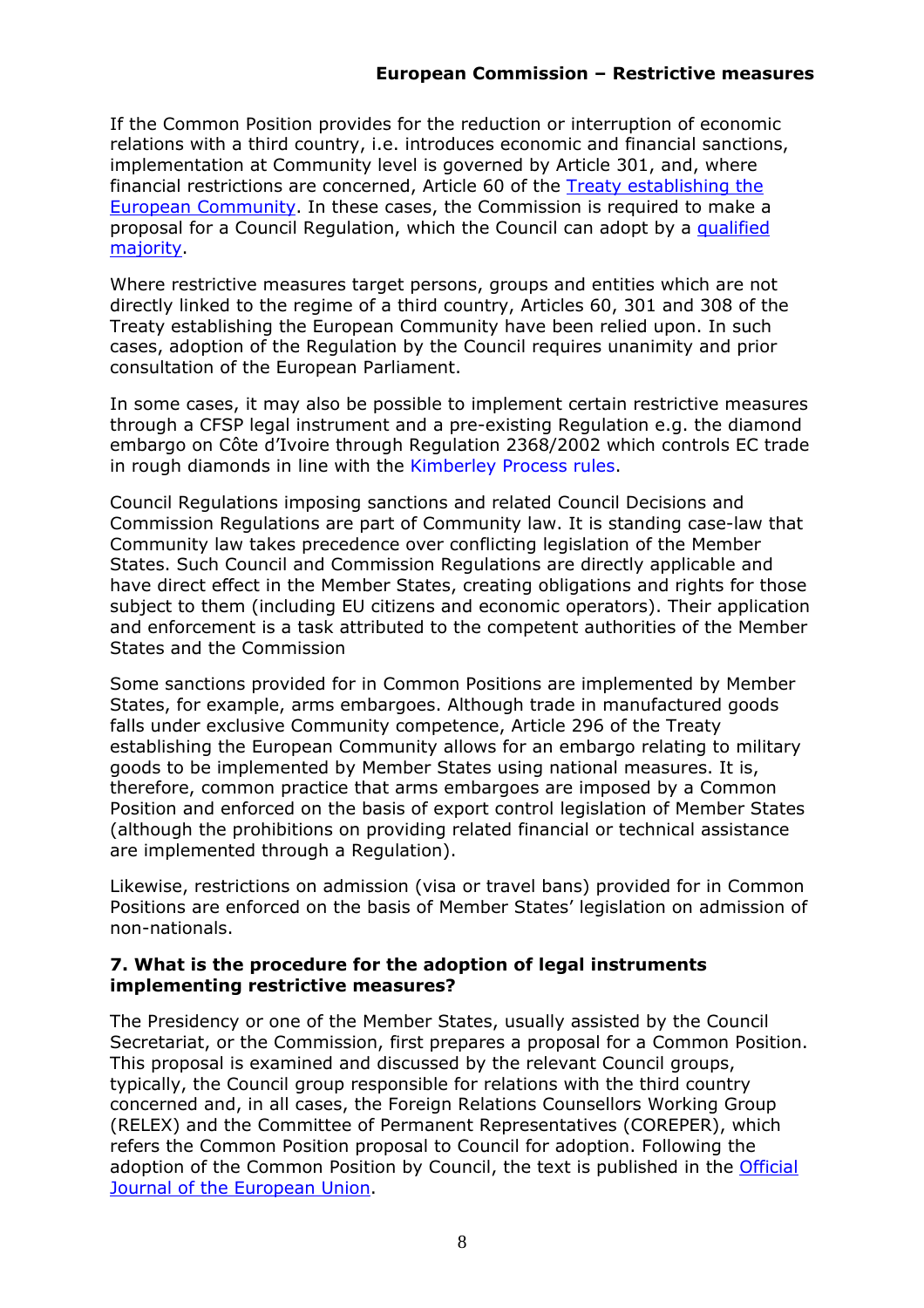If the Common Position provides for the reduction or interruption of economic relations with a third country, i.e. introduces economic and financial sanctions, implementation at Community level is governed by Article 301, and, where financial restrictions are concerned, Article 60 of the [Treaty establishing the](http://eur-lex.europa.eu/en/treaties/index.htm)  [European Community.](http://eur-lex.europa.eu/en/treaties/index.htm) In these cases, the Commission is required to make a proposal for a Council Regulation, which the Council can adopt by a [qualified](http://europa.eu/abc/12lessons/index4_en.htm)  [majority.](http://europa.eu/abc/12lessons/index4_en.htm)

Where restrictive measures target persons, groups and entities which are not directly linked to the regime of a third country, Articles 60, 301 and 308 of the Treaty establishing the European Community have been relied upon. In such cases, adoption of the Regulation by the Council requires unanimity and prior consultation of the European Parliament.

In some cases, it may also be possible to implement certain restrictive measures through a CFSP legal instrument and a pre-existing Regulation e.g. the diamond embargo on Côte d'Ivoire through Regulation 2368/2002 which controls EC trade in rough diamonds in line with th[e Kimberley Process rules.](http://ec.europa.eu/external_relations/blood_diamonds/index_en.htm)

Council Regulations imposing sanctions and related Council Decisions and Commission Regulations are part of Community law. It is standing case-law that Community law takes precedence over conflicting legislation of the Member States. Such Council and Commission Regulations are directly applicable and have direct effect in the Member States, creating obligations and rights for those subject to them (including EU citizens and economic operators). Their application and enforcement is a task attributed to the competent authorities of the Member States and the Commission

Some sanctions provided for in Common Positions are implemented by Member States, for example, arms embargoes. Although trade in manufactured goods falls under exclusive Community competence, Article 296 of the Treaty establishing the European Community allows for an embargo relating to military goods to be implemented by Member States using national measures. It is, therefore, common practice that arms embargoes are imposed by a Common Position and enforced on the basis of export control legislation of Member States (although the prohibitions on providing related financial or technical assistance are implemented through a Regulation).

Likewise, restrictions on admission (visa or travel bans) provided for in Common Positions are enforced on the basis of Member States' legislation on admission of non-nationals.

#### <span id="page-7-0"></span>**7. What is the procedure for the adoption of legal instruments implementing restrictive measures?**

The Presidency or one of the Member States, usually assisted by the Council Secretariat, or the Commission, first prepares a proposal for a Common Position. This proposal is examined and discussed by the relevant Council groups, typically, the Council group responsible for relations with the third country concerned and, in all cases, the Foreign Relations Counsellors Working Group (RELEX) and the Committee of Permanent Representatives (COREPER), which refers the Common Position proposal to Council for adoption. Following the adoption of the Common Position by Council, the text is published in the Official [Journal of the European Union.](http://eur-lex.europa.eu/JOIndex.do?ihmlang=en)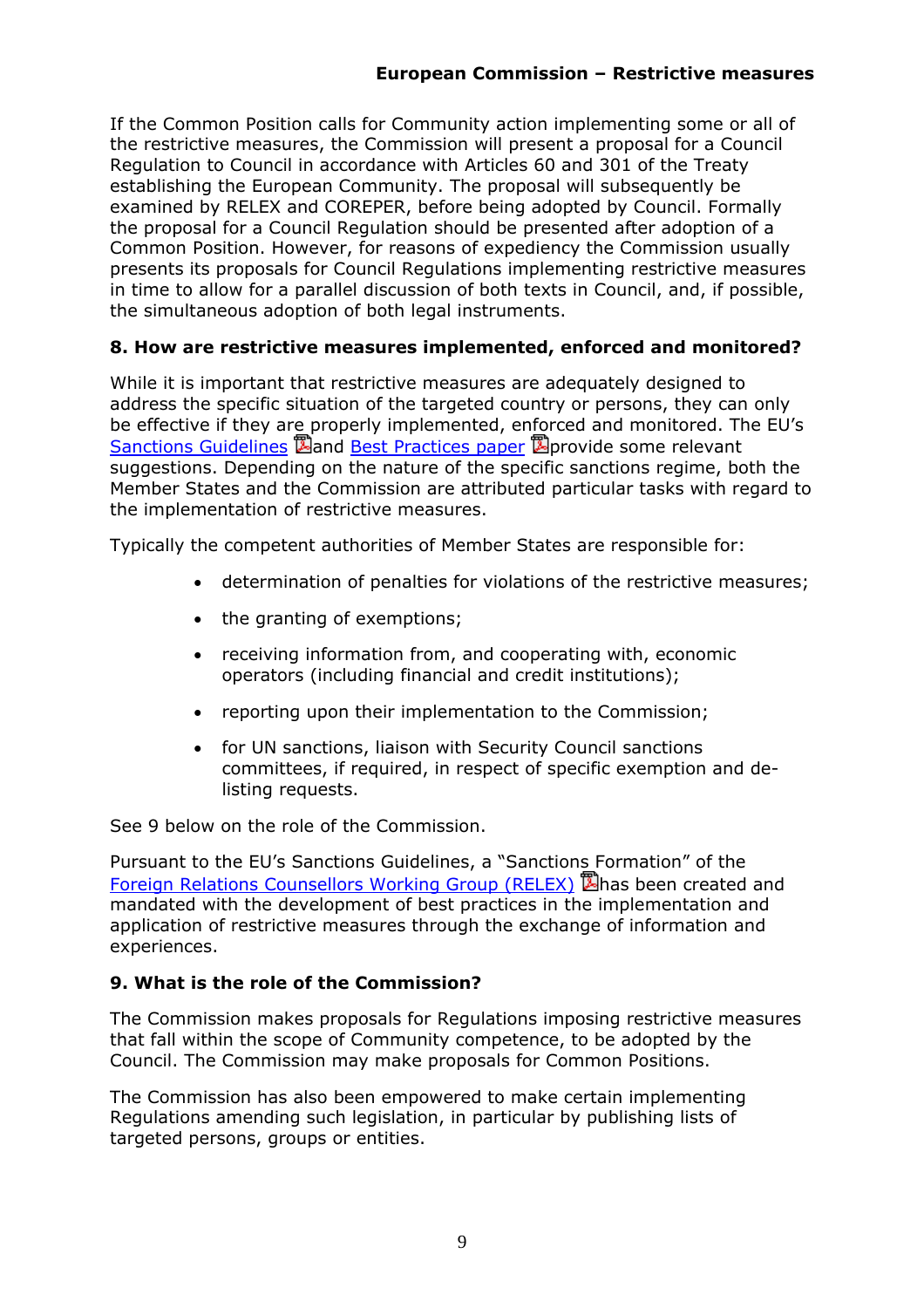If the Common Position calls for Community action implementing some or all of the restrictive measures, the Commission will present a proposal for a Council Regulation to Council in accordance with Articles 60 and 301 of the Treaty establishing the European Community. The proposal will subsequently be examined by RELEX and COREPER, before being adopted by Council. Formally the proposal for a Council Regulation should be presented after adoption of a Common Position. However, for reasons of expediency the Commission usually presents its proposals for Council Regulations implementing restrictive measures in time to allow for a parallel discussion of both texts in Council, and, if possible, the simultaneous adoption of both legal instruments.

## <span id="page-8-0"></span>**8. How are restrictive measures implemented, enforced and monitored?**

While it is important that restrictive measures are adequately designed to address the specific situation of the targeted country or persons, they can only be effective if they are properly implemented, enforced and monitored. The EU's [Sanctions Guidelines](http://register.consilium.europa.eu/pdf/en/05/st15/st15114.en05.pdf) **B**and [Best Practices paper](http://register.consilium.europa.eu/servlet/driver?page=Result&lang=EN&typ=Advanced&cmsid=639&ff_COTE_DOCUMENT=8666%2F1%2F08&ff_COTE_DOSSIER_INST=&ff_TITRE=&ff_FT_TEXT=&ff_SOUS_COTE_MATIERE=&dd_DATE_DOCUMENT=&dd_DATE_REUNION=&dd_FT_DATE=&fc=ALLLANG&srm=25&) **B**provide some relevant suggestions. Depending on the nature of the specific sanctions regime, both the Member States and the Commission are attributed particular tasks with regard to the implementation of restrictive measures.

Typically the competent authorities of Member States are responsible for:

- determination of penalties for violations of the restrictive measures;
- the granting of exemptions;
- receiving information from, and cooperating with, economic operators (including financial and credit institutions);
- reporting upon their implementation to the Commission;
- for UN sanctions, liaison with Security Council sanctions committees, if required, in respect of specific exemption and delisting requests.

See 9 below on the role of the Commission.

Pursuant to the EU's Sanctions Guidelines, a "Sanctions Formation" of the [Foreign Relations Counsellors Working Group \(RELEX\)](http://register.consilium.europa.eu/pdf/en/04/st05/st05603.en04.pdf) **E**has been created and mandated with the development of best practices in the implementation and application of restrictive measures through the exchange of information and experiences.

## <span id="page-8-1"></span>**9. What is the role of the Commission?**

The Commission makes proposals for Regulations imposing restrictive measures that fall within the scope of Community competence, to be adopted by the Council. The Commission may make proposals for Common Positions.

The Commission has also been empowered to make certain implementing Regulations amending such legislation, in particular by publishing lists of targeted persons, groups or entities.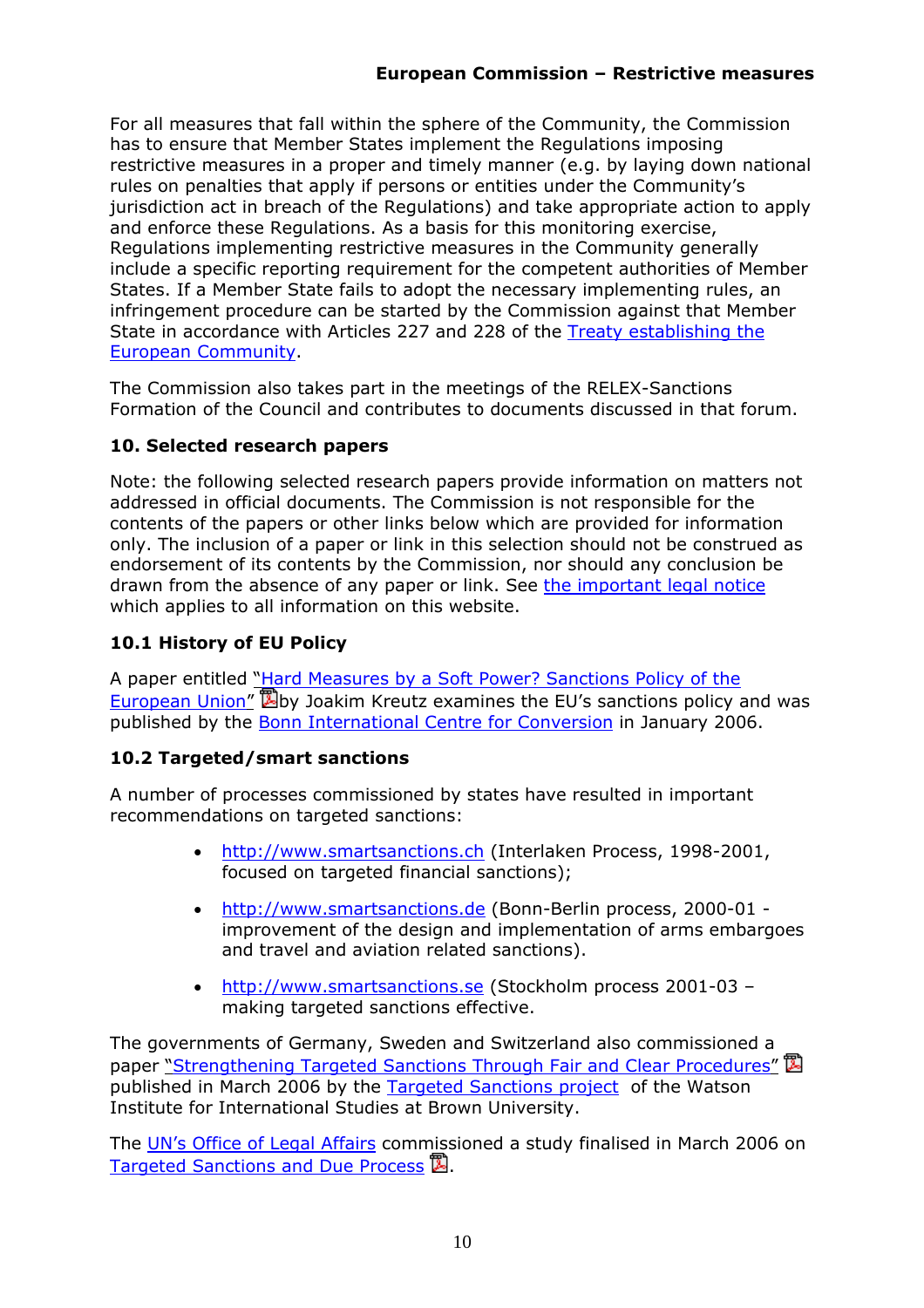For all measures that fall within the sphere of the Community, the Commission has to ensure that Member States implement the Regulations imposing restrictive measures in a proper and timely manner (e.g. by laying down national rules on penalties that apply if persons or entities under the Community's jurisdiction act in breach of the Regulations) and take appropriate action to apply and enforce these Regulations. As a basis for this monitoring exercise, Regulations implementing restrictive measures in the Community generally include a specific reporting requirement for the competent authorities of Member States. If a Member State fails to adopt the necessary implementing rules, an infringement procedure can be started by the Commission against that Member State in accordance with Articles 227 and 228 of the [Treaty establishing the](http://eur-lex.europa.eu/en/treaties/index.htm)  [European Community.](http://eur-lex.europa.eu/en/treaties/index.htm)

The Commission also takes part in the meetings of the RELEX-Sanctions Formation of the Council and contributes to documents discussed in that forum.

## <span id="page-9-0"></span>**10. Selected research papers**

Note: the following selected research papers provide information on matters not addressed in official documents. The Commission is not responsible for the contents of the papers or other links below which are provided for information only. The inclusion of a paper or link in this selection should not be construed as endorsement of its contents by the Commission, nor should any conclusion be drawn from the absence of any paper or link. See [the important legal notice](http://europa.eu/geninfo/legal_notices_en.htm#disclaimer) which applies to all information on this website.

# <span id="page-9-1"></span>**10.1 History of EU Policy**

A paper entitled ["Hard Measures by a Soft Power? Sanctions Policy of the](http://www.bicc.de/publications/papers/paper45/paper45.pdf)  European Union<sup>"</sup> 国by Joakim Kreutz examines the EU's sanctions policy and was published by the [Bonn International Centre for Conversion](http://www.bicc.de/) in January 2006.

## <span id="page-9-2"></span>**10.2 Targeted/smart sanctions**

A number of processes commissioned by states have resulted in important recommendations on targeted sanctions:

- [http://www.smartsanctions.ch](http://www.smartsanctions.ch/) (Interlaken Process, 1998-2001, focused on targeted financial sanctions);
- [http://www.smartsanctions.de](http://www.smartsanctions.de/) (Bonn-Berlin process, 2000-01 improvement of the design and implementation of arms embargoes and travel and aviation related sanctions).
- [http://www.smartsanctions.se](http://www.smartsanctions.se/) (Stockholm process 2001-03 making targeted sanctions effective.

The governments of Germany, Sweden and Switzerland also commissioned a paper ["Strengthening Targeted Sanctions Through Fair and Clear Procedures"](http://watsoninstitute.org/pub/Strengthening_Targeted_Sanctions.pdf) 国 published in March 2006 by the [Targeted Sanctions project](http://www.watsoninstitute.org/TFS) of the Watson Institute for International Studies at Brown University.

Th[e UN's Office of Legal Affairs](http://untreaty.un.org/ola-internet/olahome.html) commissioned a study finalised in March 2006 on [Targeted Sanctions and Due Process](http://www.un.org/law/counsel/Fassbender_study.pdf)  $\mathbb{Z}$ .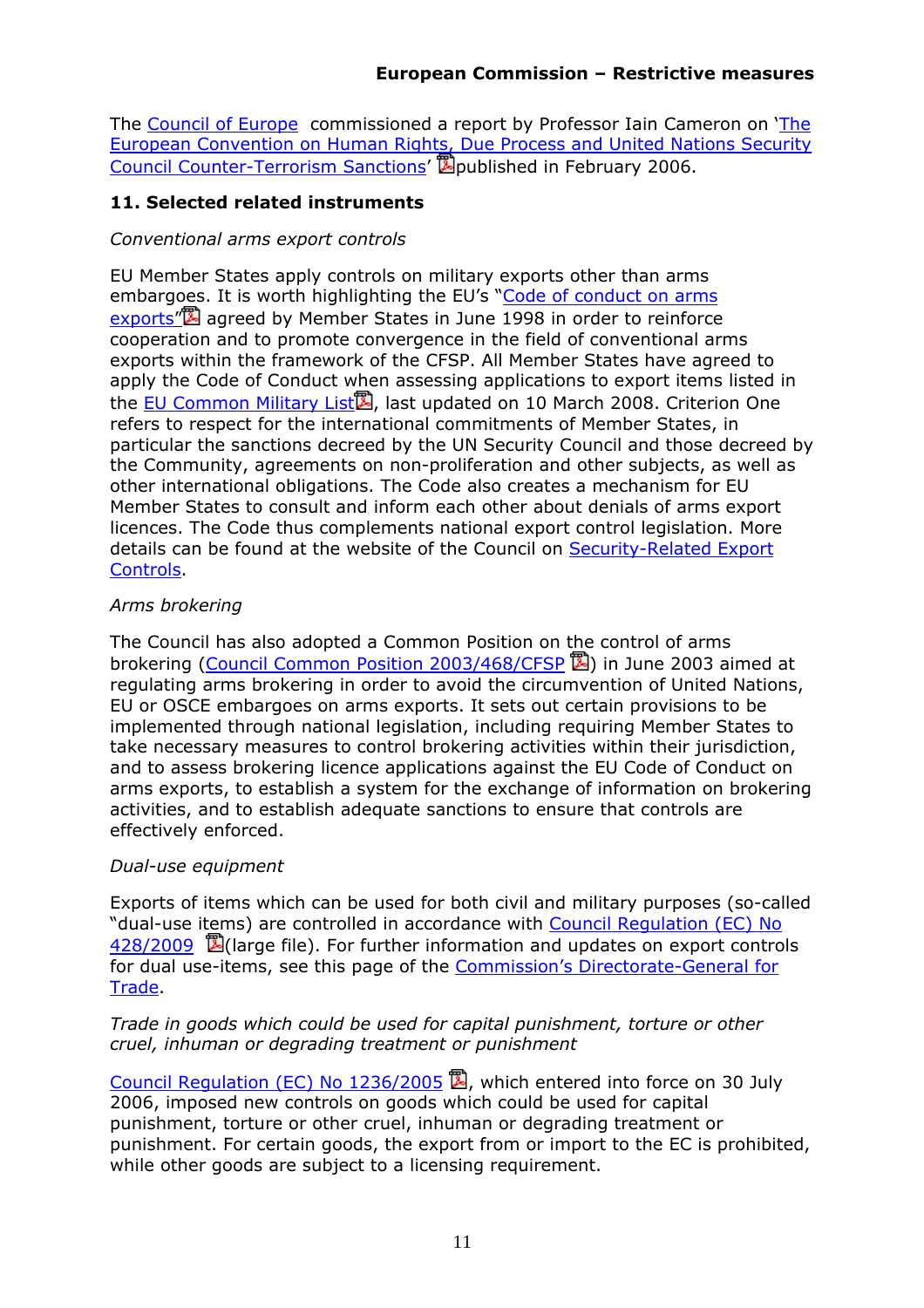Th[e Council of Europe](http://www.coe.int/) commissioned a report by Professor Iain Cameron on ['The](http://www.coe.int/t/e/legal_affairs/legal_co-operation/public_international_law/Texts_&_Documents/2006/I. Cameron Report 06.pdf)  [European Convention on Human Rights, Due Process and United Nations Security](http://www.coe.int/t/e/legal_affairs/legal_co-operation/public_international_law/Texts_&_Documents/2006/I. Cameron Report 06.pdf)  [Council Counter-Terrorism Sanctions'](http://www.coe.int/t/e/legal_affairs/legal_co-operation/public_international_law/Texts_&_Documents/2006/I. Cameron Report 06.pdf) **D**ublished in February 2006.

### <span id="page-10-0"></span>**11. Selected related instruments**

#### *Conventional arms export controls*

EU Member States apply controls on military exports other than arms embargoes. It is worth highlighting the EU's "Code of conduct on arms [exports"](http://www.consilium.europa.eu/uedocs/cmsUpload/08675r2en8.pdf) agreed by Member States in June 1998 in order to reinforce cooperation and to promote convergence in the field of conventional arms exports within the framework of the CFSP. All Member States have agreed to apply the Code of Conduct when assessing applications to export items listed in the [EU Common Military List](http://eur-lex.europa.eu/LexUriServ/LexUriServ.do?uri=OJ:C:2009:065:0001:0034:EN:PDF)<sup>2</sup>, last updated on 10 March 2008. Criterion One refers to respect for the international commitments of Member States, in particular the sanctions decreed by the UN Security Council and those decreed by the Community, agreements on non-proliferation and other subjects, as well as other international obligations. The Code also creates a mechanism for EU Member States to consult and inform each other about denials of arms export licences. The Code thus complements national export control legislation. More details can be found at the website of the Council on [Security-Related Export](http://www.consilium.europa.eu/cms3_applications/showPage.asp?lang=en&id=408&mode=g)  [Controls.](http://www.consilium.europa.eu/cms3_applications/showPage.asp?lang=en&id=408&mode=g)

### *Arms brokering*

The Council has also adopted a Common Position on the control of arms brokering [\(Council Common Position 2003/468/CFSP](http://eur-lex.europa.eu/LexUriServ/LexUriServ.do?uri=OJ:L:2003:156:0079:0080:EN:PDF)  $\mathbb{Z}$ ) in June 2003 aimed at regulating arms brokering in order to avoid the circumvention of United Nations, EU or OSCE embargoes on arms exports. It sets out certain provisions to be implemented through national legislation, including requiring Member States to take necessary measures to control brokering activities within their jurisdiction, and to assess brokering licence applications against the EU Code of Conduct on arms exports, to establish a system for the exchange of information on brokering activities, and to establish adequate sanctions to ensure that controls are effectively enforced.

#### *Dual-use equipment*

Exports of items which can be used for both civil and military purposes (so-called "dual-use items) are controlled in accordance with [Council Regulation \(EC\) No](http://eur-lex.europa.eu/LexUriServ/LexUriServ.do?uri=OJ:L:2009:134:0001:0269:EN:PDF)   $428/2009$   $\mathbb{Z}$  (large file). For further information and updates on export controls for dual use-items, see this page of the [Commission's Directorate-General for](http://ec.europa.eu/trade/issues/sectoral/industry/dualuse/index_en.htm)  **Trade** 

### *Trade in goods which could be used for capital punishment, torture or other cruel, inhuman or degrading treatment or punishment*

[Council Regulation \(EC\) No 1236/2005](http://eur-lex.europa.eu/LexUriServ/LexUriServ.do?uri=OJ:L:2005:200:0001:0019:EN:PDF)  $\mathbb{B}$ , which entered into force on 30 July 2006, imposed new controls on goods which could be used for capital punishment, torture or other cruel, inhuman or degrading treatment or punishment. For certain goods, the export from or import to the EC is prohibited, while other goods are subject to a licensing requirement.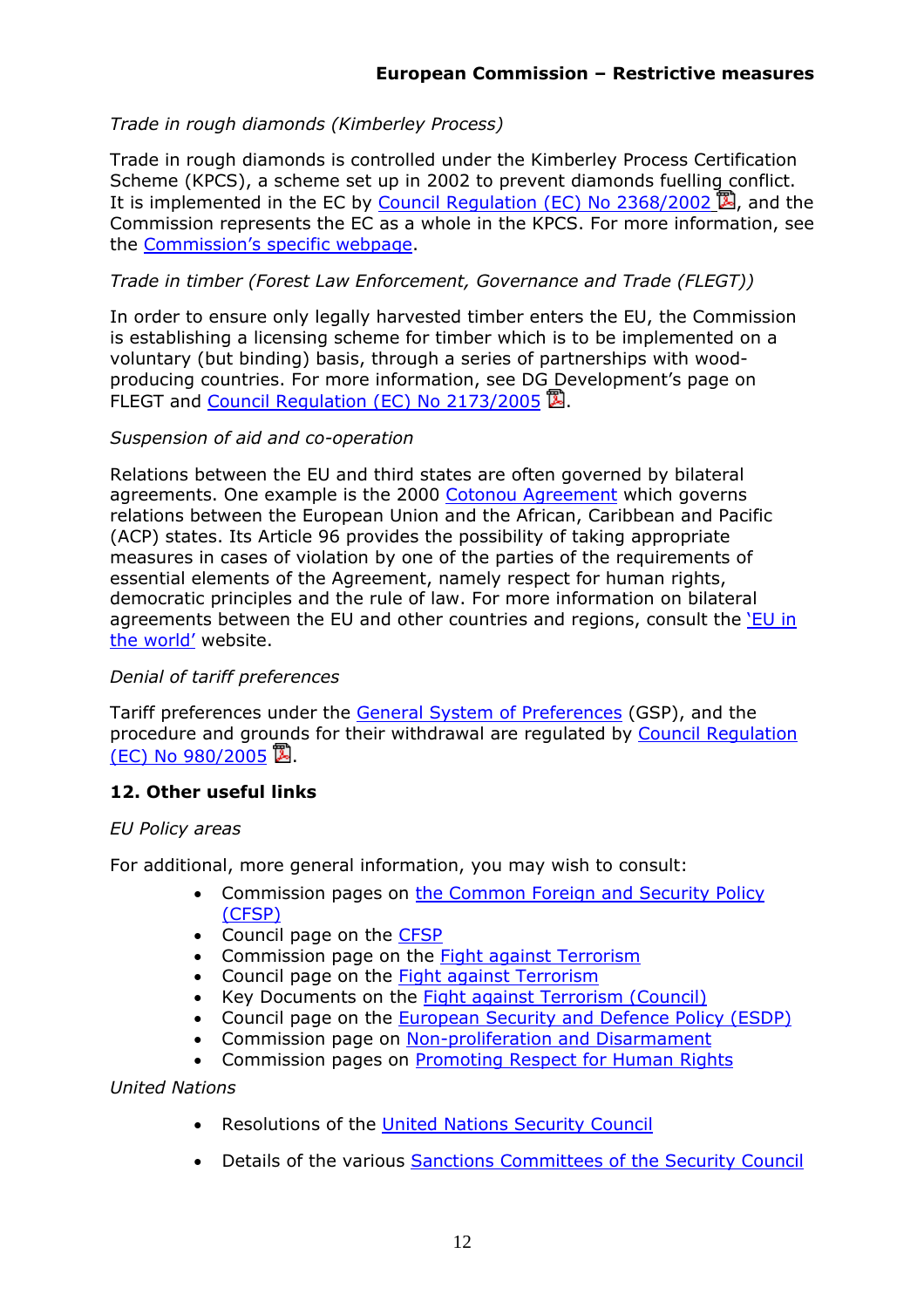## *Trade in rough diamonds (Kimberley Process)*

Trade in rough diamonds is controlled under the Kimberley Process Certification Scheme (KPCS), a scheme set up in 2002 to prevent diamonds fuelling conflict. It is implemented in the EC by [Council Regulation \(EC\) No 2368/2002](http://eur-lex.europa.eu/LexUriServ/LexUriServ.do?uri=OJ:L:2002:358:0028:0048:EN:PDF)  $\mathbb{Z}$ , and the Commission represents the EC as a whole in the KPCS. For more information, see the [Commission's specific webpage.](http://ec.europa.eu/external_relations/blood_diamonds/index_en.htm)

### *Trade in timber (Forest Law Enforcement, Governance and Trade (FLEGT))*

In order to ensure only legally harvested timber enters the EU, the Commission is establishing a licensing scheme for timber which is to be implemented on a voluntary (but binding) basis, through a series of partnerships with woodproducing countries. For more information, see DG Development's page on FLEGT and [Council Regulation \(EC\) No 2173/2005](http://europa.eu/eur-lex/lex/LexUriServ/site/en/oj/2005/l_347/l_34720051230en00010006.pdf)  $\mathbb{Z}$ .

### *Suspension of aid and co-operation*

Relations between the EU and third states are often governed by bilateral agreements. One example is the 2000 [Cotonou Agreement](http://ec.europa.eu/development/body/cotonou/index_en.htm) which governs relations between the European Union and the African, Caribbean and Pacific (ACP) states. Its Article 96 provides the possibility of taking appropriate measures in cases of violation by one of the parties of the requirements of essential elements of the Agreement, namely respect for human rights, democratic principles and the rule of law. For more information on bilateral agreements between the EU and other countries and regions, consult the ['EU in](http://ec.europa.eu/world/)  [the world'](http://ec.europa.eu/world/) website.

### *Denial of tariff preferences*

Tariff preferences under the [General System of Preferences](http://ec.europa.eu/trade/issues/global/gsp/index_en.htm) (GSP), and the procedure and grounds for their withdrawal are regulated b[y Council Regulation](http://eur-lex.europa.eu/LexUriServ/LexUriServ.do?uri=OJ:L:2005:169:0001:0043:EN:PDF)   $(EC)$  No 980/2005  $\mathbb{Z}$ .

## <span id="page-11-0"></span>**12. Other useful links**

### *EU Policy areas*

For additional, more general information, you may wish to consult:

- Commission pages on [the Common Foreign and Security Policy](http://ec.europa.eu/external_relations/cfsp/intro/index.htm)  [\(CFSP\)](http://ec.europa.eu/external_relations/cfsp/intro/index.htm)
- Council page on the [CFSP](http://www.consilium.europa.eu/cms3_fo/showPage.asp?id=248&lang=en&mode=g)
- Commission page on the **Fight against Terrorism**
- Council page on the [Fight against Terrorism](http://www.consilium.europa.eu/showPage.asp?id=406&lang=en)
- Key Documents on the [Fight against Terrorism \(Council\)](http://www.consilium.europa.eu/showPage.asp?id=631&lang=en&mode=g)
- Council page on the **European Security and Defence Policy (ESDP)**
- Commission page on [Non-proliferation and Disarmament](http://ec.europa.eu/external_relations/cfsp/npd/index.htm)
- Commission pages on [Promoting Respect for Human Rights](http://ec.europa.eu/external_relations/human_rights/intro/index.htm)

*United Nations* 

- Resolutions of the [United Nations Security Council](http://www.un.org/Docs/sc/index.html)
- Details of the various Sanctions Committees of the Security Council